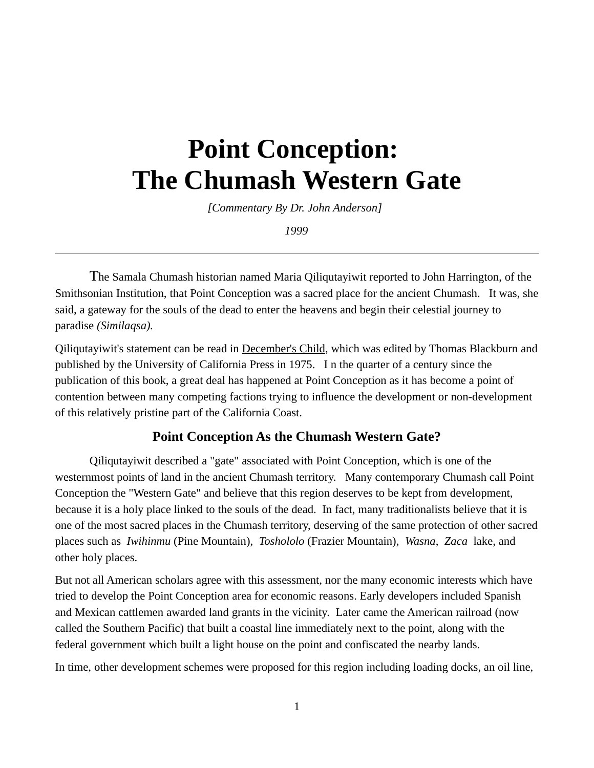# **Point Conception: The Chumash Western Gate**

*[Commentary By Dr. John Anderson]* 

*1999*

The Samala Chumash historian named Maria Qiliqutayiwit reported to John Harrington, of the Smithsonian Institution, that Point Conception was a sacred place for the ancient Chumash. It was, she said, a gateway for the souls of the dead to enter the heavens and begin their celestial journey to paradise *(Similaqsa).*

Qiliqutayiwit's statement can be read in December's Child, which was edited by Thomas Blackburn and published by the University of California Press in 1975. I n the quarter of a century since the publication of this book, a great deal has happened at Point Conception as it has become a point of contention between many competing factions trying to influence the development or non-development of this relatively pristine part of the California Coast.

#### **Point Conception As the Chumash Western Gate?**

Qiliqutayiwit described a "gate" associated with Point Conception, which is one of the westernmost points of land in the ancient Chumash territory. Many contemporary Chumash call Point Conception the "Western Gate" and believe that this region deserves to be kept from development, because it is a holy place linked to the souls of the dead. In fact, many traditionalists believe that it is one of the most sacred places in the Chumash territory, deserving of the same protection of other sacred places such as *Iwihinmu* (Pine Mountain), *Toshololo* (Frazier Mountain), *Wasna*, *Zaca* lake, and other holy places.

But not all American scholars agree with this assessment, nor the many economic interests which have tried to develop the Point Conception area for economic reasons. Early developers included Spanish and Mexican cattlemen awarded land grants in the vicinity. Later came the American railroad (now called the Southern Pacific) that built a coastal line immediately next to the point, along with the federal government which built a light house on the point and confiscated the nearby lands.

In time, other development schemes were proposed for this region including loading docks, an oil line,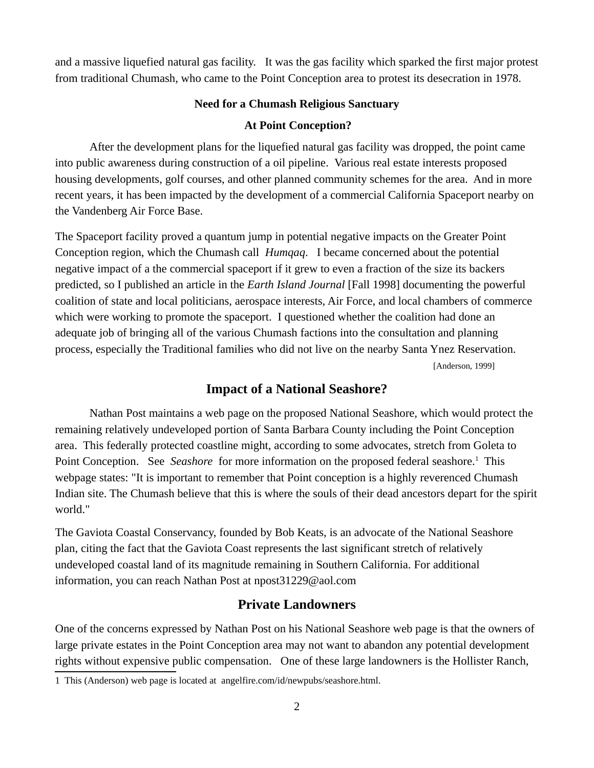and a massive liquefied natural gas facility. It was the gas facility which sparked the first major protest from traditional Chumash, who came to the Point Conception area to protest its desecration in 1978.

#### **Need for a Chumash Religious Sanctuary**

#### **At Point Conception?**

After the development plans for the liquefied natural gas facility was dropped, the point came into public awareness during construction of a oil pipeline. Various real estate interests proposed housing developments, golf courses, and other planned community schemes for the area. And in more recent years, it has been impacted by the development of a commercial California Spaceport nearby on the Vandenberg Air Force Base.

The Spaceport facility proved a quantum jump in potential negative impacts on the Greater Point Conception region, which the Chumash call *Humqaq*. I became concerned about the potential negative impact of a the commercial spaceport if it grew to even a fraction of the size its backers predicted, so I published an article in the *Earth Island Journal* [Fall 1998] documenting the powerful coalition of state and local politicians, aerospace interests, Air Force, and local chambers of commerce which were working to promote the spaceport. I questioned whether the coalition had done an adequate job of bringing all of the various Chumash factions into the consultation and planning process, especially the Traditional families who did not live on the nearby Santa Ynez Reservation. [Anderson, 1999]

#### **Impact of a National Seashore?**

Nathan Post maintains a web page on the proposed National Seashore, which would protect the remaining relatively undeveloped portion of Santa Barbara County including the Point Conception area. This federally protected coastline might, according to some advocates, stretch from Goleta to Point Conception. See *[Seashore](http://members.aol.com/NPost31229/Index7.html)* for more information on the proposed federal seashore.<sup>[1](#page-1-0)</sup> This webpage states: "It is important to remember that Point conception is a highly reverenced Chumash Indian site. The Chumash believe that this is where the souls of their dead ancestors depart for the spirit world."

The Gaviota Coastal Conservancy, founded by Bob Keats, is an advocate of the National Seashore plan, citing the fact that the Gaviota Coast represents the last significant stretch of relatively undeveloped coastal land of its magnitude remaining in Southern California. For additional information, you can reach Nathan Post at npost31229@aol.com

## **Private Landowners**

One of the concerns expressed by Nathan Post on his National Seashore web page is that the owners of large private estates in the Point Conception area may not want to abandon any potential development rights without expensive public compensation. One of these large landowners is the Hollister Ranch,

<span id="page-1-0"></span><sup>1</sup> This (Anderson) web page is located at angelfire.com/id/newpubs/seashore.html.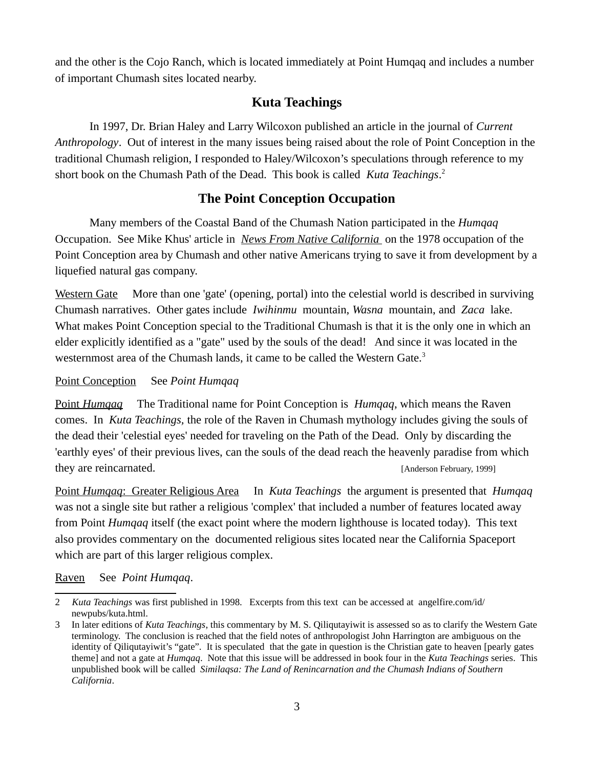and the other is the Cojo Ranch, which is located immediately at Point Humqaq and includes a number of important Chumash sites located nearby.

# **Kuta Teachings**

In 1997, Dr. Brian Haley and Larry Wilcoxon published an article in the journal of *Current Anthropology*. Out of interest in the many issues being raised about the role of Point Conception in the traditional Chumash religion, I responded to Haley/Wilcoxon's speculations through reference to my short book on the Chumash Path of the Dead. This book is called *Kuta Teachings*. [2](#page-2-0)

# **The Point Conception Occupation**

Many members of the Coastal Band of the Chumash Nation participated in the *Humqaq* Occupation. See Mike Khus' article in *News From Native California* on the 1978 occupation of the Point Conception area by Chumash and other native Americans trying to save it from development by a liquefied natural gas company.

Western Gate More than one 'gate' (opening, portal) into the celestial world is described in surviving Chumash narratives. Other gates include *Iwihinmu* mountain, *Wasna* mountain, and *Zaca* lake. What makes Point Conception special to the Traditional Chumash is that it is the only one in which an elder explicitly identified as a "gate" used by the souls of the dead! And since it was located in the westernmost area of the Chumash lands, it came to be called the Western Gate.<sup>[3](#page-2-1)</sup>

### Point Conception See *Point Humqaq*

 Point*Humqaq* The Traditional name for Point Conception is *Humqaq*, which means the Raven comes. In *Kuta Teachings,* the role of the Raven in Chumash mythology includes giving the souls of the dead their 'celestial eyes' needed for traveling on the Path of the Dead. Only by discarding the 'earthly eyes' of their previous lives, can the souls of the dead reach the heavenly paradise from which they are reincarnated. The state of the state of the state of the state of the state of the state of the state of the state of the state of the state of the state of the state of the state of the state of the state of the

 Point *Humqaq*: Greater Religious Area In *Kuta Teachings* the argument is presented that *Humqaq* was not a single site but rather a religious 'complex' that included a number of features located away from Point *Humqaq* itself (the exact point where the modern lighthouse is located today). This text also provides commentary on the documented religious sites located near the California Spaceport which are part of this larger religious complex.

Raven See *Point Humqaq*.

<span id="page-2-0"></span><sup>2</sup> *Kuta Teachings* was first published in 1998. Excerpts from this text can be accessed at angelfire.com/id/ newpubs/kuta.html.

<span id="page-2-1"></span><sup>3</sup> In later editions of *Kuta Teachings*, this commentary by M. S. Qiliqutayiwit is assessed so as to clarify the Western Gate terminology. The conclusion is reached that the field notes of anthropologist John Harrington are ambiguous on the identity of Qiliqutayiwit's "gate". It is speculated that the gate in question is the Christian gate to heaven [pearly gates theme] and not a gate at *Humqaq*. Note that this issue will be addressed in book four in the *Kuta Teachings* series. This unpublished book will be called *Similaqsa: The Land of Renincarnation and the Chumash Indians of Southern California*.